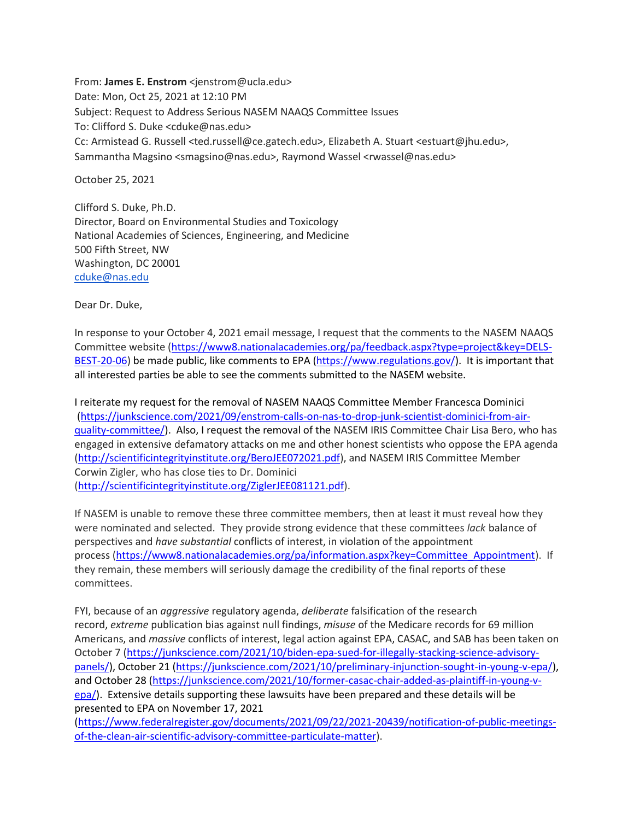From: **James E. Enstrom** <jenstrom@ucla.edu> Date: Mon, Oct 25, 2021 at 12:10 PM Subject: Request to Address Serious NASEM NAAQS Committee Issues To: Clifford S. Duke <cduke@nas.edu> Cc: Armistead G. Russell <ted.russell@ce.gatech.edu>, Elizabeth A. Stuart <estuart@jhu.edu>, Sammantha Magsino <smagsino@nas.edu>, Raymond Wassel <rwassel@nas.edu>

October 25, 2021

Clifford S. Duke, Ph.D. Director, Board on Environmental Studies and Toxicology National Academies of Sciences, Engineering, and Medicine 500 Fifth Street, NW Washington, DC 20001 [cduke@nas.edu](mailto:cduke@nas.edu)

Dear Dr. Duke,

In response to your October 4, 2021 email message, I request that the comments to the NASEM NAAQS Committee website [\(https://www8.nationalacademies.org/pa/feedback.aspx?type=project&key=DELS-](https://www8.nationalacademies.org/pa/feedback.aspx?type=project&key=DELS-BEST-20-06)[BEST-20-06\)](https://www8.nationalacademies.org/pa/feedback.aspx?type=project&key=DELS-BEST-20-06) be made public, like comments to EPA [\(https://www.regulations.gov/\)](https://www.regulations.gov/). It is important that all interested parties be able to see the comments submitted to the NASEM website.

I reiterate my request for the removal of NASEM NAAQS Committee Member Francesca Dominici [\(https://junkscience.com/2021/09/enstrom-calls-on-nas-to-drop-junk-scientist-dominici-from-air](https://junkscience.com/2021/09/enstrom-calls-on-nas-to-drop-junk-scientist-dominici-from-air-quality-committee/)[quality-committee/\)](https://junkscience.com/2021/09/enstrom-calls-on-nas-to-drop-junk-scientist-dominici-from-air-quality-committee/). Also, I request the removal of the NASEM IRIS Committee Chair Lisa Bero, who has engaged in extensive defamatory attacks on me and other honest scientists who oppose the EPA agenda [\(http://scientificintegrityinstitute.org/BeroJEE072021.pdf\)](http://scientificintegrityinstitute.org/BeroJEE072021.pdf), and NASEM IRIS Committee Member Corwin Zigler, who has close ties to Dr. Dominici [\(http://scientificintegrityinstitute.org/ZiglerJEE081121.pdf\)](http://scientificintegrityinstitute.org/ZiglerJEE081121.pdf).

If NASEM is unable to remove these three committee members, then at least it must reveal how they were nominated and selected. They provide strong evidence that these committees *lack* balance of perspectives and *have substantial* conflicts of interest, in violation of the appointment process [\(https://www8.nationalacademies.org/pa/information.aspx?key=Committee\\_Appointment\)](https://www8.nationalacademies.org/pa/information.aspx?key=Committee_Appointment). If they remain, these members will seriously damage the credibility of the final reports of these committees.

FYI, because of an *aggressive* regulatory agenda, *deliberate* falsification of the research record, *extreme* publication bias against null findings, *misuse* of the Medicare records for 69 million Americans, and *massive* conflicts of interest, legal action against EPA, CASAC, and SAB has been taken on October 7 [\(https://junkscience.com/2021/10/biden-epa-sued-for-illegally-stacking-science-advisory](https://junkscience.com/2021/10/biden-epa-sued-for-illegally-stacking-science-advisory-panels/)[panels/\)](https://junkscience.com/2021/10/biden-epa-sued-for-illegally-stacking-science-advisory-panels/), October 21 [\(https://junkscience.com/2021/10/preliminary-injunction-sought-in-young-v-epa/\)](https://junkscience.com/2021/10/preliminary-injunction-sought-in-young-v-epa/)), and October 28 [\(https://junkscience.com/2021/10/former-casac-chair-added-as-plaintiff-in-young-v](https://junkscience.com/2021/10/former-casac-chair-added-as-plaintiff-in-young-v-epa/)[epa/\)](https://junkscience.com/2021/10/former-casac-chair-added-as-plaintiff-in-young-v-epa/). Extensive details supporting these lawsuits have been prepared and these details will be presented to EPA on November 17, 2021

[\(https://www.federalregister.gov/documents/2021/09/22/2021-20439/notification-of-public-meetings](https://www.federalregister.gov/documents/2021/09/22/2021-20439/notification-of-public-meetings-of-the-clean-air-scientific-advisory-committee-particulate-matter)[of-the-clean-air-scientific-advisory-committee-particulate-matter\)](https://www.federalregister.gov/documents/2021/09/22/2021-20439/notification-of-public-meetings-of-the-clean-air-scientific-advisory-committee-particulate-matter).